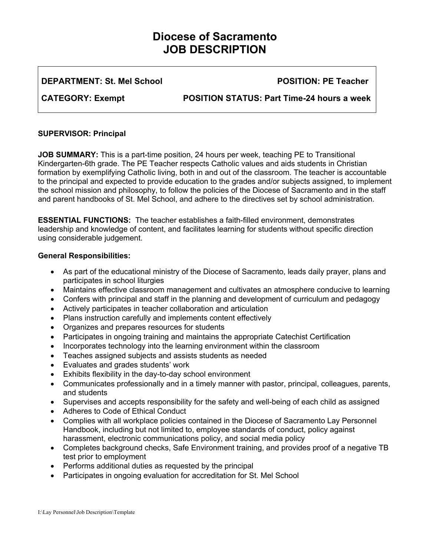# **Diocese of Sacramento JOB DESCRIPTION**

**DEPARTMENT: St. Mel School POSITION: PE Teacher** 

**CATEGORY: Exempt POSITION STATUS: Part Time-24 hours a week** 

# **SUPERVISOR: Principal**

**JOB SUMMARY:** This is a part-time position, 24 hours per week, teaching PE to Transitional Kindergarten-6th grade. The PE Teacher respects Catholic values and aids students in Christian formation by exemplifying Catholic living, both in and out of the classroom. The teacher is accountable to the principal and expected to provide education to the grades and/or subjects assigned, to implement the school mission and philosophy, to follow the policies of the Diocese of Sacramento and in the staff and parent handbooks of St. Mel School, and adhere to the directives set by school administration.

**ESSENTIAL FUNCTIONS:** The teacher establishes a faith-filled environment, demonstrates leadership and knowledge of content, and facilitates learning for students without specific direction using considerable judgement.

# **General Responsibilities:**

- As part of the educational ministry of the Diocese of Sacramento, leads daily prayer, plans and participates in school liturgies
- Maintains effective classroom management and cultivates an atmosphere conducive to learning
- Confers with principal and staff in the planning and development of curriculum and pedagogy
- Actively participates in teacher collaboration and articulation
- Plans instruction carefully and implements content effectively
- Organizes and prepares resources for students
- Participates in ongoing training and maintains the appropriate Catechist Certification
- Incorporates technology into the learning environment within the classroom
- Teaches assigned subjects and assists students as needed
- Evaluates and grades students' work
- Exhibits flexibility in the day-to-day school environment
- Communicates professionally and in a timely manner with pastor, principal, colleagues, parents, and students
- Supervises and accepts responsibility for the safety and well-being of each child as assigned
- Adheres to Code of Ethical Conduct
- Complies with all workplace policies contained in the Diocese of Sacramento Lay Personnel Handbook, including but not limited to, employee standards of conduct, policy against harassment, electronic communications policy, and social media policy
- Completes background checks, Safe Environment training, and provides proof of a negative TB test prior to employment
- Performs additional duties as requested by the principal
- Participates in ongoing evaluation for accreditation for St. Mel School